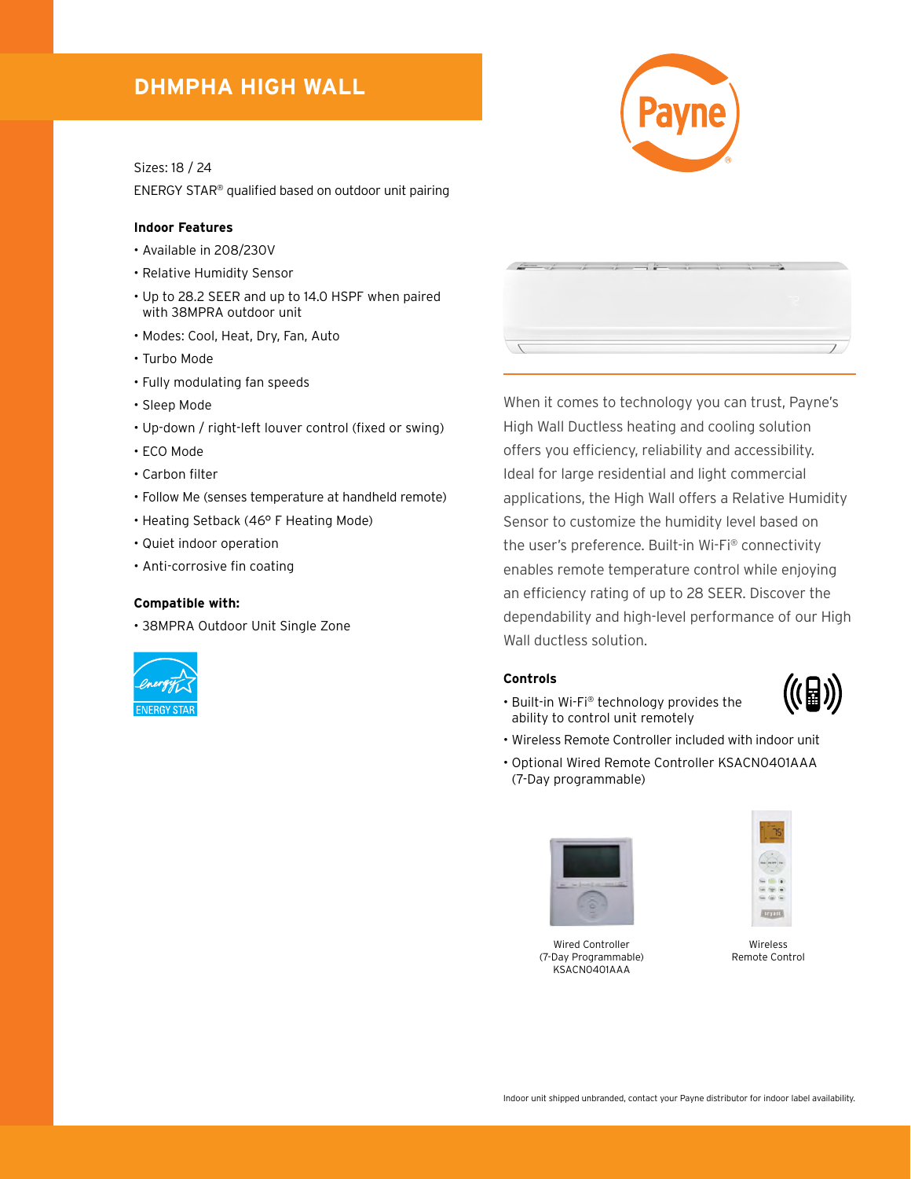## **DHMPHA HIGH WALL**

Sizes: 18 / 24

ENERGY STAR® qualified based on outdoor unit pairing

#### **Indoor Features**

- Available in 208/230V
- Relative Humidity Sensor
- Up to 28.2 SEER and up to 14.0 HSPF when paired with 38MPRA outdoor unit
- Modes: Cool, Heat, Dry, Fan, Auto
- Turbo Mode
- Fully modulating fan speeds
- Sleep Mode
- Up-down / right-left louver control (fixed or swing)
- ECO Mode
- Carbon filter
- Follow Me (senses temperature at handheld remote)
- Heating Setback (46° F Heating Mode)
- Quiet indoor operation
- Anti-corrosive fin coating

#### **Compatible with:**

• 38MPRA Outdoor Unit Single Zone



| $\mathcal{L} = -\mathcal{L}$ | $-1$ | $\overline{\phantom{a}}$ | $-15$<br>_<br>- | w. | <b>CALL THE</b> | u. | <b>Course</b> |  |
|------------------------------|------|--------------------------|-----------------|----|-----------------|----|---------------|--|
|                              |      |                          |                 |    |                 |    |               |  |
|                              |      |                          |                 |    |                 |    |               |  |

When it comes to technology you can trust, Payne's High Wall Ductless heating and cooling solution offers you efficiency, reliability and accessibility. Ideal for large residential and light commercial applications, the High Wall offers a Relative Humidity Sensor to customize the humidity level based on the user's preference. Built-in Wi-Fi® connectivity enables remote temperature control while enjoying an efficiency rating of up to 28 SEER. Discover the dependability and high-level performance of our High Wall ductless solution.

### **Controls**



- Built-in Wi-Fi® technology provides the ability to control unit remotely
- Wireless Remote Controller included with indoor unit
- Optional Wired Remote Controller KSACN0401AAA (7-Day programmable)



Wired Controller (7-Day Programmable) KSACN0401AAA



Wireless Remote Control